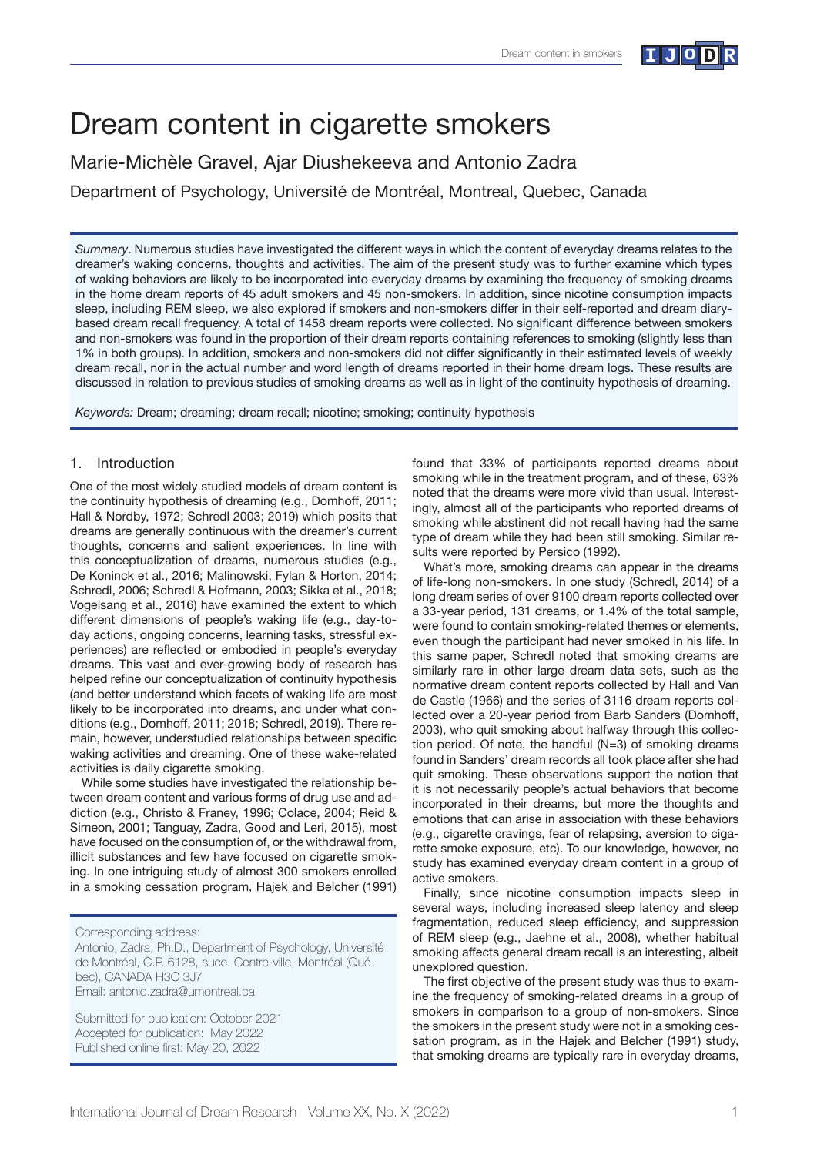# Dream content in cigarette smokers

Marie-Michèle Gravel, Ajar Diushekeeva and Antonio Zadra

Department of Psychology, Université de Montréal, Montreal, Quebec, Canada

*Summary*. Numerous studies have investigated the different ways in which the content of everyday dreams relates to the dreamer's waking concerns, thoughts and activities. The aim of the present study was to further examine which types of waking behaviors are likely to be incorporated into everyday dreams by examining the frequency of smoking dreams in the home dream reports of 45 adult smokers and 45 non-smokers. In addition, since nicotine consumption impacts sleep, including REM sleep, we also explored if smokers and non-smokers differ in their self-reported and dream diarybased dream recall frequency. A total of 1458 dream reports were collected. No significant difference between smokers and non-smokers was found in the proportion of their dream reports containing references to smoking (slightly less than 1% in both groups). In addition, smokers and non-smokers did not differ significantly in their estimated levels of weekly dream recall, nor in the actual number and word length of dreams reported in their home dream logs. These results are discussed in relation to previous studies of smoking dreams as well as in light of the continuity hypothesis of dreaming.

*Keywords:* Dream; dreaming; dream recall; nicotine; smoking; continuity hypothesis

# 1. Introduction

One of the most widely studied models of dream content is the continuity hypothesis of dreaming (e.g., Domhoff, 2011; Hall & Nordby, 1972; Schredl 2003; 2019) which posits that dreams are generally continuous with the dreamer's current thoughts, concerns and salient experiences. In line with this conceptualization of dreams, numerous studies (e.g., De Koninck et al., 2016; Malinowski, Fylan & Horton, 2014; Schredl, 2006; Schredl & Hofmann, 2003; Sikka et al., 2018; Vogelsang et al., 2016) have examined the extent to which different dimensions of people's waking life (e.g., day-today actions, ongoing concerns, learning tasks, stressful experiences) are reflected or embodied in people's everyday dreams. This vast and ever-growing body of research has helped refine our conceptualization of continuity hypothesis (and better understand which facets of waking life are most likely to be incorporated into dreams, and under what conditions (e.g., Domhoff, 2011; 2018; Schredl, 2019). There remain, however, understudied relationships between specific waking activities and dreaming. One of these wake-related activities is daily cigarette smoking.

While some studies have investigated the relationship between dream content and various forms of drug use and addiction (e.g., Christo & Franey, 1996; Colace, 2004; Reid & Simeon, 2001; Tanguay, Zadra, Good and Leri, 2015), most have focused on the consumption of, or the withdrawal from, illicit substances and few have focused on cigarette smoking. In one intriguing study of almost 300 smokers enrolled in a smoking cessation program, Hajek and Belcher (1991)

Corresponding address:

Antonio, Zadra, Ph.D., Department of Psychology, Université de Montréal, C.P. 6128, succ. Centre-ville, Montréal (Québec), CANADA H3C 3J7 Email: antonio.zadra@umontreal.ca

Submitted for publication: October 2021 Accepted for publication: May 2022 Published online first: May 20, 2022

found that 33% of participants reported dreams about smoking while in the treatment program, and of these, 63% noted that the dreams were more vivid than usual. Interestingly, almost all of the participants who reported dreams of smoking while abstinent did not recall having had the same type of dream while they had been still smoking. Similar results were reported by Persico (1992).

What's more, smoking dreams can appear in the dreams of life-long non-smokers. In one study (Schredl, 2014) of a long dream series of over 9100 dream reports collected over a 33-year period, 131 dreams, or 1.4% of the total sample, were found to contain smoking-related themes or elements, even though the participant had never smoked in his life. In this same paper, Schredl noted that smoking dreams are similarly rare in other large dream data sets, such as the normative dream content reports collected by Hall and Van de Castle (1966) and the series of 3116 dream reports collected over a 20-year period from Barb Sanders (Domhoff, 2003), who quit smoking about halfway through this collection period. Of note, the handful (N=3) of smoking dreams found in Sanders' dream records all took place after she had quit smoking. These observations support the notion that it is not necessarily people's actual behaviors that become incorporated in their dreams, but more the thoughts and emotions that can arise in association with these behaviors (e.g., cigarette cravings, fear of relapsing, aversion to cigarette smoke exposure, etc). To our knowledge, however, no study has examined everyday dream content in a group of active smokers.

Finally, since nicotine consumption impacts sleep in several ways, including increased sleep latency and sleep fragmentation, reduced sleep efficiency, and suppression of REM sleep (e.g., Jaehne et al., 2008), whether habitual smoking affects general dream recall is an interesting, albeit unexplored question.

The first objective of the present study was thus to examine the frequency of smoking-related dreams in a group of smokers in comparison to a group of non-smokers. Since the smokers in the present study were not in a smoking cessation program, as in the Hajek and Belcher (1991) study, that smoking dreams are typically rare in everyday dreams,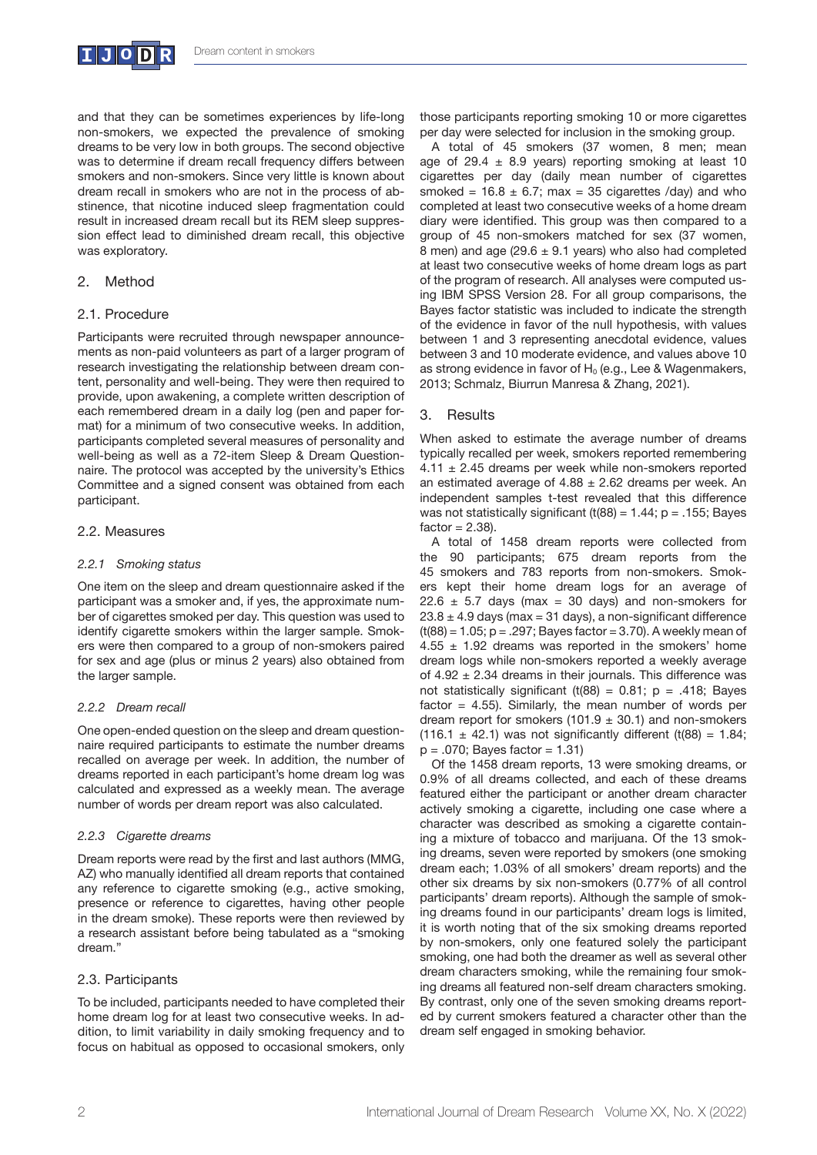

and that they can be sometimes experiences by life-long non-smokers, we expected the prevalence of smoking dreams to be very low in both groups. The second objective was to determine if dream recall frequency differs between smokers and non-smokers. Since very little is known about dream recall in smokers who are not in the process of abstinence, that nicotine induced sleep fragmentation could result in increased dream recall but its REM sleep suppression effect lead to diminished dream recall, this objective was exploratory.

### 2. Method

#### 2.1. Procedure

Participants were recruited through newspaper announcements as non-paid volunteers as part of a larger program of research investigating the relationship between dream content, personality and well-being. They were then required to provide, upon awakening, a complete written description of each remembered dream in a daily log (pen and paper format) for a minimum of two consecutive weeks. In addition, participants completed several measures of personality and well-being as well as a 72-item Sleep & Dream Questionnaire. The protocol was accepted by the university's Ethics Committee and a signed consent was obtained from each participant.

#### 2.2. Measures

#### *2.2.1 Smoking status*

One item on the sleep and dream questionnaire asked if the participant was a smoker and, if yes, the approximate number of cigarettes smoked per day. This question was used to identify cigarette smokers within the larger sample. Smokers were then compared to a group of non-smokers paired for sex and age (plus or minus 2 years) also obtained from the larger sample.

#### *2.2.2 Dream recall*

One open-ended question on the sleep and dream questionnaire required participants to estimate the number dreams recalled on average per week. In addition, the number of dreams reported in each participant's home dream log was calculated and expressed as a weekly mean. The average number of words per dream report was also calculated.

#### *2.2.3 Cigarette dreams*

Dream reports were read by the first and last authors (MMG, AZ) who manually identified all dream reports that contained any reference to cigarette smoking (e.g., active smoking, presence or reference to cigarettes, having other people in the dream smoke). These reports were then reviewed by a research assistant before being tabulated as a "smoking dream."

# 2.3. Participants

To be included, participants needed to have completed their home dream log for at least two consecutive weeks. In addition, to limit variability in daily smoking frequency and to focus on habitual as opposed to occasional smokers, only those participants reporting smoking 10 or more cigarettes per day were selected for inclusion in the smoking group.

A total of 45 smokers (37 women, 8 men; mean age of 29.4  $\pm$  8.9 years) reporting smoking at least 10 cigarettes per day (daily mean number of cigarettes smoked =  $16.8 \pm 6.7$ ; max = 35 cigarettes /day) and who completed at least two consecutive weeks of a home dream diary were identified. This group was then compared to a group of 45 non-smokers matched for sex (37 women, 8 men) and age (29.6  $\pm$  9.1 years) who also had completed at least two consecutive weeks of home dream logs as part of the program of research. All analyses were computed using IBM SPSS Version 28. For all group comparisons, the Bayes factor statistic was included to indicate the strength of the evidence in favor of the null hypothesis, with values between 1 and 3 representing anecdotal evidence, values between 3 and 10 moderate evidence, and values above 10 as strong evidence in favor of  $H_0$  (e.g., Lee & Wagenmakers, 2013; Schmalz, Biurrun Manresa & Zhang, 2021).

# 3. Results

When asked to estimate the average number of dreams typically recalled per week, smokers reported remembering  $4.11 \pm 2.45$  dreams per week while non-smokers reported an estimated average of  $4.88 \pm 2.62$  dreams per week. An independent samples t-test revealed that this difference was not statistically significant (t(88) =  $1.44$ ; p =  $.155$ ; Bayes  $factor = 2.38$ ).

A total of 1458 dream reports were collected from the 90 participants; 675 dream reports from the 45 smokers and 783 reports from non-smokers. Smokers kept their home dream logs for an average of  $22.6 \pm 5.7$  days (max = 30 days) and non-smokers for  $23.8 \pm 4.9$  days (max = 31 days), a non-significant difference  $(t(88) = 1.05; p = .297;$  Bayes factor = 3.70). A weekly mean of  $4.55 \pm 1.92$  dreams was reported in the smokers' home dream logs while non-smokers reported a weekly average of  $4.92 \pm 2.34$  dreams in their journals. This difference was not statistically significant (t(88) =  $0.81$ ; p = .418; Bayes factor  $= 4.55$ ). Similarly, the mean number of words per dream report for smokers (101.9  $\pm$  30.1) and non-smokers  $(116.1 \pm 42.1)$  was not significantly different  $(t(88) = 1.84;$  $p = .070$ ; Bayes factor = 1.31)

Of the 1458 dream reports, 13 were smoking dreams, or 0.9% of all dreams collected, and each of these dreams featured either the participant or another dream character actively smoking a cigarette, including one case where a character was described as smoking a cigarette containing a mixture of tobacco and marijuana. Of the 13 smoking dreams, seven were reported by smokers (one smoking dream each; 1.03% of all smokers' dream reports) and the other six dreams by six non-smokers (0.77% of all control participants' dream reports). Although the sample of smoking dreams found in our participants' dream logs is limited, it is worth noting that of the six smoking dreams reported by non-smokers, only one featured solely the participant smoking, one had both the dreamer as well as several other dream characters smoking, while the remaining four smoking dreams all featured non-self dream characters smoking. By contrast, only one of the seven smoking dreams reported by current smokers featured a character other than the dream self engaged in smoking behavior.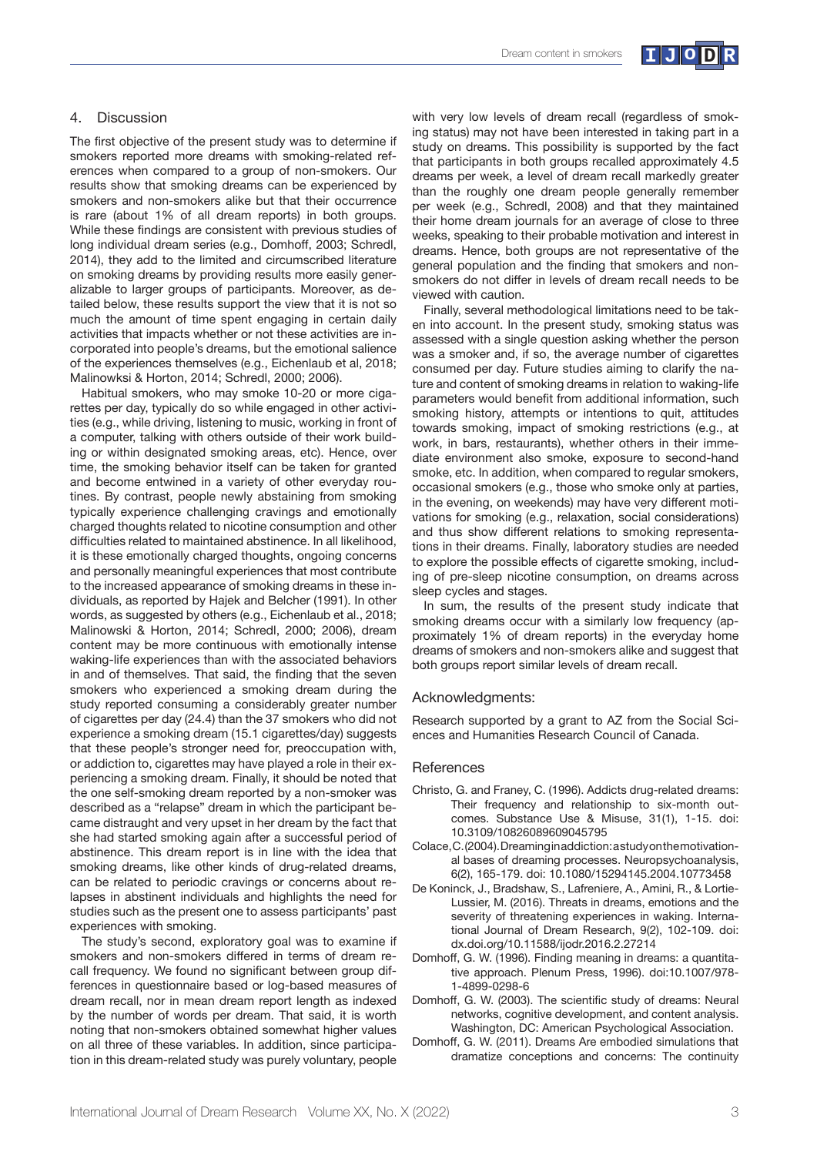

### 4. Discussion

The first objective of the present study was to determine if smokers reported more dreams with smoking-related references when compared to a group of non-smokers. Our results show that smoking dreams can be experienced by smokers and non-smokers alike but that their occurrence is rare (about 1% of all dream reports) in both groups. While these findings are consistent with previous studies of long individual dream series (e.g., Domhoff, 2003; Schredl, 2014), they add to the limited and circumscribed literature on smoking dreams by providing results more easily generalizable to larger groups of participants. Moreover, as detailed below, these results support the view that it is not so much the amount of time spent engaging in certain daily activities that impacts whether or not these activities are incorporated into people's dreams, but the emotional salience of the experiences themselves (e.g., Eichenlaub et al, 2018; Malinowksi & Horton, 2014; Schredl, 2000; 2006).

Habitual smokers, who may smoke 10-20 or more cigarettes per day, typically do so while engaged in other activities (e.g., while driving, listening to music, working in front of a computer, talking with others outside of their work building or within designated smoking areas, etc). Hence, over time, the smoking behavior itself can be taken for granted and become entwined in a variety of other everyday routines. By contrast, people newly abstaining from smoking typically experience challenging cravings and emotionally charged thoughts related to nicotine consumption and other difficulties related to maintained abstinence. In all likelihood, it is these emotionally charged thoughts, ongoing concerns and personally meaningful experiences that most contribute to the increased appearance of smoking dreams in these individuals, as reported by Hajek and Belcher (1991). In other words, as suggested by others (e.g., Eichenlaub et al., 2018; Malinowski & Horton, 2014; Schredl, 2000; 2006), dream content may be more continuous with emotionally intense waking-life experiences than with the associated behaviors in and of themselves. That said, the finding that the seven smokers who experienced a smoking dream during the study reported consuming a considerably greater number of cigarettes per day (24.4) than the 37 smokers who did not experience a smoking dream (15.1 cigarettes/day) suggests that these people's stronger need for, preoccupation with, or addiction to, cigarettes may have played a role in their experiencing a smoking dream. Finally, it should be noted that the one self-smoking dream reported by a non-smoker was described as a "relapse" dream in which the participant became distraught and very upset in her dream by the fact that she had started smoking again after a successful period of abstinence. This dream report is in line with the idea that smoking dreams, like other kinds of drug-related dreams, can be related to periodic cravings or concerns about relapses in abstinent individuals and highlights the need for studies such as the present one to assess participants' past experiences with smoking.

The study's second, exploratory goal was to examine if smokers and non-smokers differed in terms of dream recall frequency. We found no significant between group differences in questionnaire based or log-based measures of dream recall, nor in mean dream report length as indexed by the number of words per dream. That said, it is worth noting that non-smokers obtained somewhat higher values on all three of these variables. In addition, since participation in this dream-related study was purely voluntary, people

with very low levels of dream recall (regardless of smoking status) may not have been interested in taking part in a study on dreams. This possibility is supported by the fact that participants in both groups recalled approximately 4.5 dreams per week, a level of dream recall markedly greater than the roughly one dream people generally remember per week (e.g., Schredl, 2008) and that they maintained their home dream journals for an average of close to three weeks, speaking to their probable motivation and interest in dreams. Hence, both groups are not representative of the general population and the finding that smokers and nonsmokers do not differ in levels of dream recall needs to be viewed with caution.

Finally, several methodological limitations need to be taken into account. In the present study, smoking status was assessed with a single question asking whether the person was a smoker and, if so, the average number of cigarettes consumed per day. Future studies aiming to clarify the nature and content of smoking dreams in relation to waking-life parameters would benefit from additional information, such smoking history, attempts or intentions to quit, attitudes towards smoking, impact of smoking restrictions (e.g., at work, in bars, restaurants), whether others in their immediate environment also smoke, exposure to second-hand smoke, etc. In addition, when compared to regular smokers, occasional smokers (e.g., those who smoke only at parties, in the evening, on weekends) may have very different motivations for smoking (e.g., relaxation, social considerations) and thus show different relations to smoking representations in their dreams. Finally, laboratory studies are needed to explore the possible effects of cigarette smoking, including of pre-sleep nicotine consumption, on dreams across sleep cycles and stages.

In sum, the results of the present study indicate that smoking dreams occur with a similarly low frequency (approximately 1% of dream reports) in the everyday home dreams of smokers and non-smokers alike and suggest that both groups report similar levels of dream recall.

#### Acknowledgments:

Research supported by a grant to AZ from the Social Sciences and Humanities Research Council of Canada.

#### **References**

- Christo, G. and Franey, C. (1996). Addicts drug-related dreams: Their frequency and relationship to six-month outcomes. Substance Use & Misuse, 31(1), 1-15. doi: 10.3109/10826089609045795
- Colace, C. (2004). Dreaming in addiction: a study on the motivational bases of dreaming processes. Neuropsychoanalysis, 6(2), 165-179. doi: 10.1080/15294145.2004.10773458
- De Koninck, J., Bradshaw, S., Lafreniere, A., Amini, R., & Lortie-Lussier, M. (2016). Threats in dreams, emotions and the severity of threatening experiences in waking. International Journal of Dream Research, 9(2), 102-109. doi: dx.doi.org/10.11588/ijodr.2016.2.27214
- Domhoff, G. W. (1996). Finding meaning in dreams: a quantitative approach. Plenum Press, 1996). doi:10.1007/978- 1-4899-0298-6
- Domhoff, G. W. (2003). The scientific study of dreams: Neural networks, cognitive development, and content analysis. Washington, DC: American Psychological Association.
- Domhoff, G. W. (2011). Dreams Are embodied simulations that dramatize conceptions and concerns: The continuity